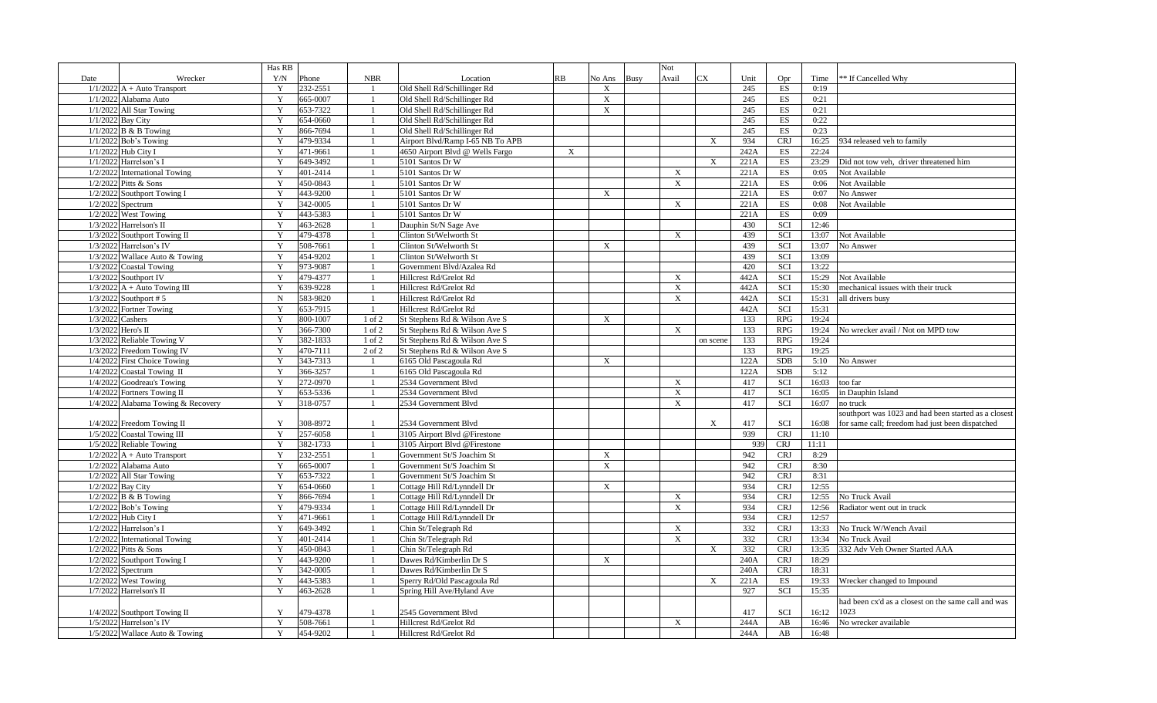|                    |                                    | Has RB      |          |                |                                  |             |                           |             | Not                       |                           |      |            |       |                                                      |
|--------------------|------------------------------------|-------------|----------|----------------|----------------------------------|-------------|---------------------------|-------------|---------------------------|---------------------------|------|------------|-------|------------------------------------------------------|
| Date               | Wrecker                            | Y/N         | Phone    | <b>NBR</b>     | Location                         | RB          | No Ans                    | <b>Busy</b> | Avail                     | <b>CX</b>                 | Unit | Opr        | Time  | ** If Cancelled Why                                  |
|                    | $1/1/2022$ A + Auto Transport      | Y           | 232-2551 |                | Old Shell Rd/Schillinger Rd      |             | X                         |             |                           |                           | 245  | ES         | 0:19  |                                                      |
|                    | 1/1/2022 Alabama Auto              | Y           | 665-0007 |                | Old Shell Rd/Schillinger Rd      |             | $\boldsymbol{\mathrm{X}}$ |             |                           |                           | 245  | ES         | 0:21  |                                                      |
|                    | 1/1/2022 All Star Towing           | Y           | 653-7322 |                | Old Shell Rd/Schillinger Rd      |             | X                         |             |                           |                           | 245  | ES         | 0:21  |                                                      |
|                    | 1/1/2022 Bay City                  | Y           | 654-0660 |                | Old Shell Rd/Schillinger Rd      |             |                           |             |                           |                           | 245  | ES         | 0:22  |                                                      |
|                    | $1/1/2022$ B & B Towing            | Y           | 866-7694 |                | Old Shell Rd/Schillinger Rd      |             |                           |             |                           |                           | 245  | ES         | 0:23  |                                                      |
|                    | $1/1/2022$ Bob's Towing            | Y           | 479-9334 |                | Airport Blvd/Ramp I-65 NB To APB |             |                           |             |                           | $\mathbf{X}$              | 934  | <b>CRJ</b> | 16:25 | 934 released veh to family                           |
|                    | 1/1/2022 Hub City I                | Y           | 471-9661 |                | 4650 Airport Blvd @ Wells Fargo  | $\mathbf X$ |                           |             |                           |                           | 242A | ES         | 22:24 |                                                      |
|                    | $1/1/2022$ Harrelson's I           | Y           | 649-3492 |                | 5101 Santos Dr W                 |             |                           |             |                           | $\mathbf X$               | 221A | ES         | 23:29 | Did not tow veh, driver threatened him               |
|                    | 1/2/2022 International Towing      | Y           | 401-2414 |                | 5101 Santos Dr W                 |             |                           |             | $\mathbf{X}$              |                           | 221A | ES         | 0:05  | Not Available                                        |
|                    | 1/2/2022 Pitts & Sons              | Y           | 450-0843 | -1             | 5101 Santos Dr W                 |             |                           |             | $\boldsymbol{\mathrm{X}}$ |                           | 221A | ES         | 0:06  | Not Available                                        |
|                    | 1/2/2022 Southport Towing I        | Y           | 443-9200 |                | 5101 Santos Dr W                 |             | X                         |             |                           |                           | 221A | ES         | 0:07  | No Answer                                            |
|                    | $1/2/2022$ Spectrum                | Y           | 342-0005 |                | 5101 Santos Dr W                 |             |                           |             | $\mathbf X$               |                           | 221A | ES         | 0:08  | Not Available                                        |
|                    | 1/2/2022 West Towing               | Y           | 443-5383 | $\overline{1}$ | 5101 Santos Dr W                 |             |                           |             |                           |                           | 221A | ES         | 0:09  |                                                      |
|                    | 1/3/2022 Harrelson's II            | Y           | 463-2628 |                | Dauphin St/N Sage Ave            |             |                           |             |                           |                           | 430  | SCI        | 12:46 |                                                      |
|                    | 1/3/2022 Southport Towing II       | Y           | 479-4378 |                | Clinton St/Welworth St           |             |                           |             | $\mathbf X$               |                           | 439  | SCI        | 13:07 | Not Available                                        |
|                    | 1/3/2022 Harrelson's IV            | Y           | 508-7661 |                | Clinton St/Welworth St           |             | $\mathbf X$               |             |                           |                           | 439  | SCI        | 13:07 | No Answer                                            |
|                    | 1/3/2022 Wallace Auto & Towing     | Y           | 454-9202 | $\overline{1}$ | Clinton St/Welworth St           |             |                           |             |                           |                           | 439  | SCI        | 13:09 |                                                      |
|                    | 1/3/2022 Coastal Towing            | Y           | 973-9087 |                | Government Blvd/Azalea Rd        |             |                           |             |                           |                           | 420  | SCI        | 13:22 |                                                      |
|                    | 1/3/2022 Southport IV              | Y           | 479-4377 |                | Hillcrest Rd/Grelot Rd           |             |                           |             | X                         |                           | 442A | SCI        | 15:29 | Not Available                                        |
|                    | $1/3/2022$ A + Auto Towing III     | Y           | 639-9228 |                | Hillcrest Rd/Grelot Rd           |             |                           |             | $\boldsymbol{\mathrm{X}}$ |                           | 442A | SCI        | 15:30 | mechanical issues with their truck                   |
|                    | $1/3/2022$ Southport #5            | $\mathbf N$ | 583-9820 |                | Hillcrest Rd/Grelot Rd           |             |                           |             | $\boldsymbol{\mathrm{X}}$ |                           | 442A | SCI        | 15:31 | all drivers busy                                     |
|                    |                                    | Y           | 653-7915 |                | Hillcrest Rd/Grelot Rd           |             |                           |             |                           |                           | 442A | SCI        | 15:31 |                                                      |
|                    | 1/3/2022 Fortner Towing            | Y           | 800-1007 |                |                                  |             |                           |             |                           |                           |      |            | 19:24 |                                                      |
| 1/3/2022 Cashers   |                                    |             |          | 1 of 2         | St Stephens Rd & Wilson Ave S    |             | X                         |             |                           |                           | 133  | <b>RPG</b> |       |                                                      |
| 1/3/2022 Hero's II |                                    | $\mathbf Y$ | 366-7300 | 1 of 2         | St Stephens Rd & Wilson Ave S    |             |                           |             | $\boldsymbol{\mathrm{X}}$ |                           | 133  | <b>RPG</b> | 19:24 | No wrecker avail / Not on MPD tow                    |
|                    | 1/3/2022 Reliable Towing V         | Y           | 382-1833 | 1 of 2         | St Stephens Rd & Wilson Ave S    |             |                           |             |                           | on scene                  | 133  | <b>RPG</b> | 19:24 |                                                      |
|                    | 1/3/2022 Freedom Towing IV         | Y           | 470-7111 | 2 of 2         | St Stephens Rd & Wilson Ave S    |             |                           |             |                           |                           | 133  | <b>RPG</b> | 19:25 |                                                      |
|                    | 1/4/2022 First Choice Towing       | Y           | 343-7313 | $\overline{1}$ | 6165 Old Pascagoula Rd           |             | X                         |             |                           |                           | 122A | <b>SDB</b> | 5:10  | No Answer                                            |
|                    | 1/4/2022 Coastal Towing II         | Y           | 366-3257 |                | 6165 Old Pascagoula Rd           |             |                           |             |                           |                           | 122A | <b>SDB</b> | 5:12  |                                                      |
|                    | 1/4/2022 Goodreau's Towing         | Y           | 272-0970 |                | $2534$ Government Blvd           |             |                           |             | $\mathbf X$               |                           | 417  | SCI        | 16:03 | too far                                              |
|                    | 1/4/2022 Fortners Towing II        | Y           | 653-5336 | $\overline{1}$ | 2534 Government Blvd             |             |                           |             | $\mathbf X$               |                           | 417  | SCI        | 16:05 | in Dauphin Island                                    |
|                    | 1/4/2022 Alabama Towing & Recovery | Y           | 318-0757 |                | 2534 Government Blvd             |             |                           |             | $\boldsymbol{\mathrm{X}}$ |                           | 417  | SCI        | 16:07 | no truck                                             |
|                    |                                    |             |          |                |                                  |             |                           |             |                           |                           |      |            |       | southport was 1023 and had been started as a closest |
|                    | 1/4/2022 Freedom Towing II         | Y           | 308-8972 | $\overline{1}$ | 2534 Government Blvd             |             |                           |             |                           | $\boldsymbol{\mathrm{X}}$ | 417  | SCI        | 16:08 | for same call; freedom had just been dispatched      |
|                    | 1/5/2022 Coastal Towing III        | Y           | 257-6058 | $\overline{1}$ | 3105 Airport Blvd @Firestone     |             |                           |             |                           |                           | 939  | <b>CRJ</b> | 11:10 |                                                      |
|                    | 1/5/2022 Reliable Towing           | Y           | 382-1733 |                | 3105 Airport Blvd @Firestone     |             |                           |             |                           |                           | 939  | <b>CRJ</b> | 11:11 |                                                      |
|                    | $1/2/2022$ A + Auto Transport      | Y           | 232-2551 |                | Government St/S Joachim St       |             | $\mathbf X$               |             |                           |                           | 942  | <b>CRJ</b> | 8:29  |                                                      |
|                    | 1/2/2022 Alabama Auto              | Y           | 665-0007 |                | Government St/S Joachim St       |             | X                         |             |                           |                           | 942  | <b>CRJ</b> | 8:30  |                                                      |
|                    | 1/2/2022 All Star Towing           | Y           | 653-7322 |                | Government St/S Joachim St       |             |                           |             |                           |                           | 942  | <b>CRJ</b> | 8:31  |                                                      |
|                    | 1/2/2022 Bay City                  | Y           | 654-0660 |                | Cottage Hill Rd/Lynndell Dr      |             | X                         |             |                           |                           | 934  | <b>CRJ</b> | 12:55 |                                                      |
|                    | $1/2/2022$ B & B Towing            | Y           | 866-7694 |                | Cottage Hill Rd/Lynndell Dr      |             |                           |             | X                         |                           | 934  | <b>CRJ</b> | 12:55 | No Truck Avail                                       |
|                    | $1/2/2022$ Bob's Towing            | Y           | 479-9334 | $\overline{1}$ | Cottage Hill Rd/Lynndell Dr      |             |                           |             | $\boldsymbol{\mathrm{X}}$ |                           | 934  | <b>CRJ</b> | 12:56 | Radiator went out in truck                           |
|                    | 1/2/2022 Hub City I                | Y           | 471-9661 |                | Cottage Hill Rd/Lynndell Dr      |             |                           |             |                           |                           | 934  | <b>CRJ</b> | 12:57 |                                                      |
|                    | 1/2/2022 Harrelson's I             | Y           | 649-3492 |                | Chin St/Telegraph Rd             |             |                           |             | $\mathbf X$               |                           | 332  | <b>CRJ</b> | 13:33 | No Truck W/Wench Avail                               |
|                    | 1/2/2022 International Towing      | Y           | 401-2414 | $\overline{1}$ | Chin St/Telegraph Rd             |             |                           |             | $\boldsymbol{\mathrm{X}}$ |                           | 332  | <b>CRJ</b> | 13:34 | No Truck Avail                                       |
|                    | 1/2/2022 Pitts & Sons              | Y           | 450-0843 |                | Chin St/Telegraph Rd             |             |                           |             |                           | $\boldsymbol{\mathrm{X}}$ | 332  | <b>CRJ</b> | 13:35 | 332 Adv Veh Owner Started AAA                        |
|                    | 1/2/2022 Southport Towing I        | Y           | 443-9200 |                | Dawes Rd/Kimberlin Dr S          |             | $\mathbf X$               |             |                           |                           | 240A | <b>CRJ</b> | 18:29 |                                                      |
|                    | $1/2/2022$ Spectrum                | Y           | 342-0005 | $\overline{1}$ | Dawes Rd/Kimberlin Dr S          |             |                           |             |                           |                           | 240A | <b>CRJ</b> | 18:31 |                                                      |
|                    | 1/2/2022 West Towing               | Y           | 443-5383 |                | Sperry Rd/Old Pascagoula Rd      |             |                           |             |                           | $\boldsymbol{\mathrm{X}}$ | 221A | ES         | 19:33 | Wrecker changed to Impound                           |
|                    | 1/7/2022 Harrelson's II            | Y           | 463-2628 |                | Spring Hill Ave/Hyland Ave       |             |                           |             |                           |                           | 927  | SCI        | 15:35 |                                                      |
|                    |                                    |             |          |                |                                  |             |                           |             |                           |                           |      |            |       | had been cx'd as a closest on the same call and was  |
|                    | 1/4/2022 Southport Towing II       | Y           | 479-4378 |                | 2545 Government Blvd             |             |                           |             |                           |                           | 417  | SCI        | 16:12 | 1023                                                 |
|                    | 1/5/2022 Harrelson's IV            | Y           | 508-7661 |                | Hillcrest Rd/Grelot Rd           |             |                           |             | $\mathbf X$               |                           | 244A | AB         | 16:46 | No wrecker available                                 |
|                    | 1/5/2022 Wallace Auto & Towing     | Y           | 454-9202 |                | Hillcrest Rd/Grelot Rd           |             |                           |             |                           |                           | 244A | AB         | 16:48 |                                                      |
|                    |                                    |             |          |                |                                  |             |                           |             |                           |                           |      |            |       |                                                      |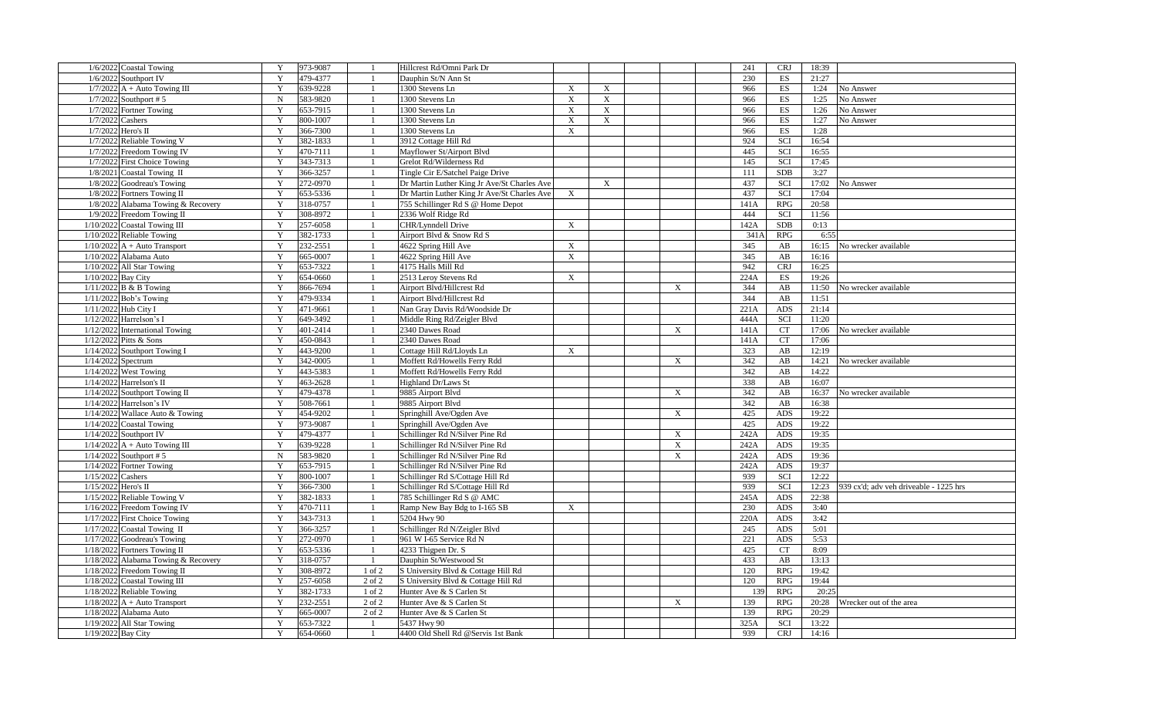| 1/6/2022 Coastal Towing             | 973-9087<br>Y           |                | Hillcrest Rd/Omni Park Dr                   |                           |              |                           | 241  |      | <b>CRJ</b>               | 18:39 |                                        |
|-------------------------------------|-------------------------|----------------|---------------------------------------------|---------------------------|--------------|---------------------------|------|------|--------------------------|-------|----------------------------------------|
| 1/6/2022 Southport IV               | Y<br>479-4377           |                | Dauphin St/N Ann St                         |                           |              |                           | 230  |      | ES                       | 21:27 |                                        |
| $1/7/2022$ A + Auto Towing III      | Y<br>639-9228           |                | 1300 Stevens Ln                             | $\boldsymbol{\mathrm{X}}$ | X            |                           | 966  |      | ES                       | 1:24  | No Answer                              |
| 1/7/2022 Southport #5               | 583-9820<br>$\mathbf N$ |                | 1300 Stevens Ln                             | $\mathbf X$               | $\mathbf X$  |                           | 966  |      | ES                       | 1:25  | No Answer                              |
| 1/7/2022 Fortner Towing             | Y<br>653-7915           |                | 1300 Stevens Ln                             | $\mathbf X$               | $\mathbf X$  |                           | 966  |      | $\mathop{\hbox{\rm ES}}$ | 1:26  | No Answer                              |
| 1/7/2022 Cashers                    | Y<br>800-1007           | $\overline{1}$ | 1300 Stevens Ln                             | $\mathbf X$               | $\mathbf{X}$ |                           | 966  |      | ES                       | 1:27  | No Answer                              |
| 1/7/2022 Hero's II                  | 366-7300<br>Y           |                | 1300 Stevens Ln                             | $\boldsymbol{\mathrm{X}}$ |              |                           | 966  |      | ES                       | 1:28  |                                        |
| 1/7/2022 Reliable Towing V          | Y<br>382-1833           |                | 3912 Cottage Hill Rd                        |                           |              |                           | 924  |      | SCI                      | 16:54 |                                        |
| 1/7/2022 Freedom Towing IV          | Y<br>470-7111           |                | Mayflower St/Airport Blvd                   |                           |              |                           | 445  |      | SCI                      | 16:55 |                                        |
| 1/7/2022 First Choice Towing        | 343-7313<br>Y           |                | Grelot Rd/Wilderness Rd                     |                           |              |                           | 145  |      | SCI                      | 17:45 |                                        |
| 1/8/2021 Coastal Towing II          | Y<br>366-3257           |                | Tingle Cir E/Satchel Paige Drive            |                           |              |                           | 111  |      | <b>SDB</b>               | 3:27  |                                        |
| 1/8/2022 Goodreau's Towing          | Y<br>272-0970           |                | Dr Martin Luther King Jr Ave/St Charles Ave |                           | X            |                           | 437  |      | <b>SCI</b>               | 17:02 | No Answer                              |
| 1/8/2022 Fortners Towing II         | 653-5336<br>Y           |                | Dr Martin Luther King Jr Ave/St Charles Ave | X                         |              |                           | 437  |      | SCI                      | 17:04 |                                        |
| 1/8/2022 Alabama Towing & Recovery  | Y<br>318-0757           |                | 755 Schillinger Rd S @ Home Depot           |                           |              |                           | 141A |      | RPG                      | 20:58 |                                        |
| $1/9/2022$ Freedom Towing II        | Y<br>308-8972           |                | 2336 Wolf Ridge Rd                          |                           |              |                           | 444  |      | SCI                      | 11:56 |                                        |
| 1/10/2022 Coastal Towing III        | 257-6058<br>Y           |                | CHR/Lynndell Drive                          | $\boldsymbol{\mathrm{X}}$ |              |                           | 142A |      | <b>SDB</b>               | 0:13  |                                        |
| $1/10/2022$ Reliable Towing         | Y<br>382-1733           |                | Airport Blvd & Snow Rd S                    |                           |              |                           |      | 341A | RPG                      | 6:55  |                                        |
| $1/10/2022$ A + Auto Transport      | Y<br>232-2551           |                | 4622 Spring Hill Ave                        | $\boldsymbol{\mathrm{X}}$ |              |                           | 345  |      | AB                       | 16:15 | No wrecker available                   |
| 1/10/2022 Alabama Auto              | 665-0007<br>Y           |                | 4622 Spring Hill Ave                        | $\boldsymbol{\mathrm{X}}$ |              |                           | 345  |      | AB                       | 16:16 |                                        |
| $1/10/2022$ All Star Towing         | 653-7322<br>Y           | -1             | 4175 Halls Mill Rd                          |                           |              |                           | 942  |      | <b>CRJ</b>               | 16:25 |                                        |
| 1/10/2022 Bay City                  | 654-0660<br>Y           |                |                                             | $\boldsymbol{\mathrm{X}}$ |              |                           | 224A |      | ES                       | 19:26 |                                        |
|                                     | Y                       |                | 2513 Leroy Stevens Rd                       |                           |              |                           |      |      |                          |       |                                        |
| $1/11/2022$ B & B Towing            | 866-7694                |                | Airport Blvd/Hillcrest Rd                   |                           |              | $\boldsymbol{\mathrm{X}}$ | 344  |      | AB                       | 11:50 | No wrecker available                   |
| 1/11/2022 Bob's Towing              | Y<br>479-9334           |                | Airport Blvd/Hillcrest Rd                   |                           |              |                           | 344  |      | AB                       | 11:51 |                                        |
| 1/11/2022 Hub City I                | Y<br>471-9661           |                | Nan Gray Davis Rd/Woodside Dr               |                           |              |                           | 221A |      | ADS                      | 21:14 |                                        |
| 1/12/2022 Harrelson's I             | Y<br>649-3492           |                | Middle Ring Rd/Zeigler Blvd                 |                           |              |                           | 444A |      | SCI                      | 11:20 |                                        |
| 1/12/2022 International Towing      | Y<br>401-2414           |                | 2340 Dawes Road                             |                           |              | $\boldsymbol{\mathrm{X}}$ | 141A |      | CT                       | 17:06 | No wrecker available                   |
| $1/12/2022$ Pitts & Sons            | 450-0843<br>Y           |                | 2340 Dawes Road                             |                           |              |                           | 141A |      | <b>CT</b>                | 17:06 |                                        |
| $1/14/2022$ Southport Towing I      | 443-9200<br>Y           |                | Cottage Hill Rd/Lloyds Ln                   | $\boldsymbol{\mathrm{X}}$ |              |                           | 323  |      | AB                       | 12:19 |                                        |
| $1/14/2022$ Spectrum                | 342-0005<br>Y           |                | Moffett Rd/Howells Ferry Rdd                |                           |              | $\boldsymbol{\mathrm{X}}$ | 342  |      | AB                       | 14:21 | No wrecker available                   |
| $1/14/2022$ West Towing             | 443-5383<br>Y           |                | Moffett Rd/Howells Ferry Rdd                |                           |              |                           | 342  |      | AB                       | 14:22 |                                        |
| $1/14/2022$ Harrelson's II          | Y<br>463-2628           |                | Highland Dr/Laws St                         |                           |              |                           | 338  |      | AB                       | 16:07 |                                        |
| 1/14/2022 Southport Towing II       | 479-4378<br>Y           |                | 9885 Airport Blvd                           |                           |              | $\boldsymbol{\mathrm{X}}$ | 342  |      | AB                       | 16:37 | No wrecker available                   |
| $1/14/2022$ Harrelson's IV          | Y<br>508-7661           |                | 9885 Airport Blvd                           |                           |              |                           | 342  |      | AB                       | 16:38 |                                        |
| 1/14/2022 Wallace Auto & Towing     | Y<br>454-9202           |                | Springhill Ave/Ogden Ave                    |                           |              | $\mathbf{X}$              | 425  |      | ADS                      | 19:22 |                                        |
| $1/14/2022$ Coastal Towing          | 973-9087<br>Y           |                | Springhill Ave/Ogden Ave                    |                           |              |                           | 425  |      | ADS                      | 19:22 |                                        |
| 1/14/2022 Southport IV              | Y<br>479-4377           |                | Schillinger Rd N/Silver Pine Rd             |                           |              | $\mathbf{X}$              | 242A |      | ADS                      | 19:35 |                                        |
| $1/14/2022$ A + Auto Towing III     | Y<br>639-9228           | -1             | Schillinger Rd N/Silver Pine Rd             |                           |              | $\boldsymbol{\mathrm{X}}$ | 242A |      | ADS                      | 19:35 |                                        |
| $1/14/2022$ Southport #5            | ${\bf N}$<br>583-9820   |                | Schillinger Rd N/Silver Pine Rd             |                           |              | $\mathbf X$               | 242A |      | ADS                      | 19:36 |                                        |
| $1/14/2022$ Fortner Towing          | Y<br>653-7915           |                | Schillinger Rd N/Silver Pine Rd             |                           |              |                           | 242A |      | ADS                      | 19:37 |                                        |
| $1/15/2022$ Cashers                 | Y<br>800-1007           |                | Schillinger Rd S/Cottage Hill Rd            |                           |              |                           | 939  |      | SCI                      | 12:22 |                                        |
| 1/15/2022 Hero's II                 | 366-7300<br>Y           |                | Schillinger Rd S/Cottage Hill Rd            |                           |              |                           | 939  |      | SCI                      | 12:23 | 939 cx'd; adv veh driveable - 1225 hrs |
| 1/15/2022 Reliable Towing V         | Y<br>382-1833           |                | 785 Schillinger Rd S @ AMC                  |                           |              |                           | 245A |      | ADS                      | 22:38 |                                        |
| $1/16/2022$ Freedom Towing IV       | Y<br>470-7111           |                | Ramp New Bay Bdg to I-165 SB                | $\mathbf X$               |              |                           | 230  |      | ADS                      | 3:40  |                                        |
| 1/17/2022 First Choice Towing       | 343-7313<br>Y           |                | 5204 Hwy 90                                 |                           |              |                           | 220A |      | ADS                      | 3:42  |                                        |
| $1/17/2022$ Coastal Towing II       | Y<br>366-3257           |                | Schillinger Rd N/Zeigler Blvd               |                           |              |                           | 245  |      | ADS                      | 5:01  |                                        |
| 1/17/2022 Goodreau's Towing         | Y<br>272-0970           |                | 961 W I-65 Service Rd N                     |                           |              |                           | 221  |      | <b>ADS</b>               | 5:53  |                                        |
| 1/18/2022 Fortners Towing II        | Y<br>653-5336           |                | 4233 Thigpen Dr. S                          |                           |              |                           | 425  |      | CT                       | 8:09  |                                        |
| 1/18/2022 Alabama Towing & Recovery | Y<br>318-0757           |                | Dauphin St/Westwood St                      |                           |              |                           | 433  |      | AB                       | 13:13 |                                        |
| 1/18/2022 Freedom Towing II         | Y<br>308-8972           | $1$ of $2$     | S University Blvd & Cottage Hill Rd         |                           |              |                           | 120  |      | <b>RPG</b>               | 19:42 |                                        |
| $1/18/2022$ Coastal Towing III      | Y<br>257-6058           | 2 of 2         | S University Blvd & Cottage Hill Rd         |                           |              |                           | 120  |      | <b>RPG</b>               | 19:44 |                                        |
| $1/18/2022$ Reliable Towing         | Y<br>382-1733           | 1 of 2         | Hunter Ave & S Carlen St                    |                           |              |                           |      | 139  | RPG                      | 20:25 |                                        |
| $1/18/2022$ A + Auto Transport      | 232-2551<br>Y           | 2 of 2         | Hunter Ave & S Carlen St                    |                           |              | $\boldsymbol{\mathrm{X}}$ | 139  |      | RPG                      | 20:28 | Wrecker out of the area                |
| 1/18/2022 Alabama Auto              | Y<br>665-0007           | 2 of 2         | Hunter Ave & S Carlen St                    |                           |              |                           | 139  |      | <b>RPG</b>               | 20:29 |                                        |
| 1/19/2022 All Star Towing           | 653-7322<br>Y           | -1             | 5437 Hwy 90                                 |                           |              |                           | 325A |      | SCI                      | 13:22 |                                        |
| 1/19/2022 Bay City                  | $\mathbf Y$<br>654-0660 |                | 4400 Old Shell Rd @Servis 1st Bank          |                           |              |                           | 939  |      | <b>CRJ</b>               | 14:16 |                                        |
|                                     |                         |                |                                             |                           |              |                           |      |      |                          |       |                                        |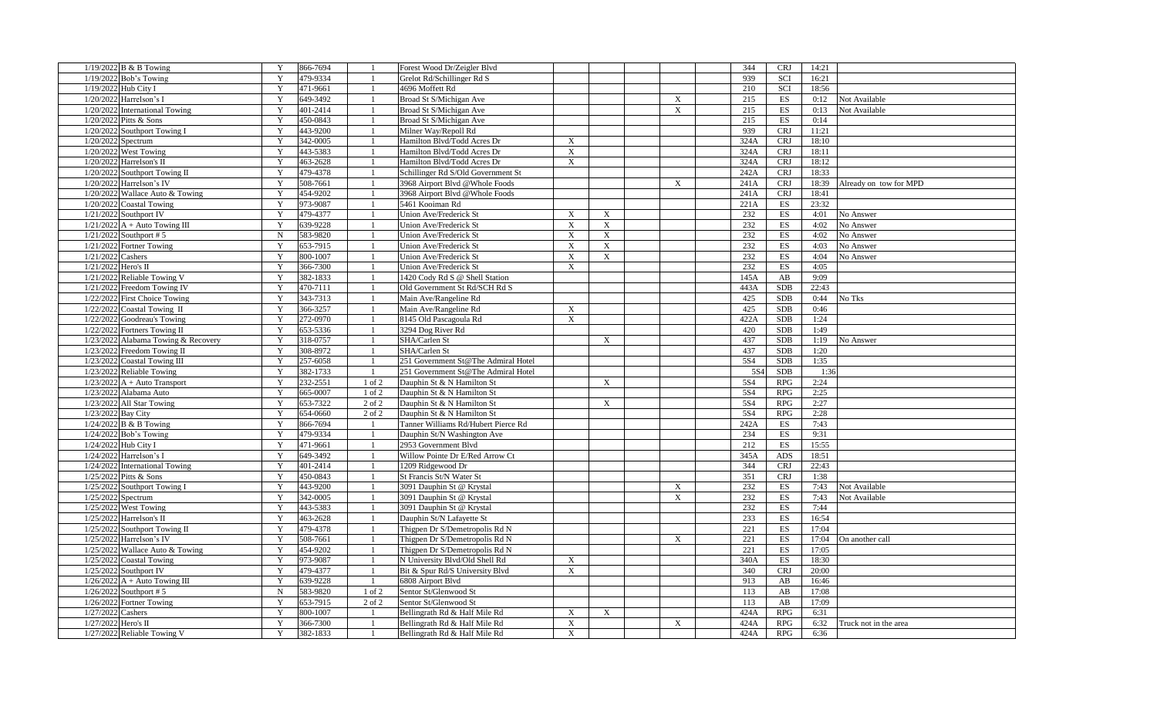| $1/19/2022$ B & B Towing            | Y         | 866-7694 |                | Forest Wood Dr/Zeigler Blvd         |             |              |                           | 344  | <b>CRJ</b>               | 14:21 |                        |
|-------------------------------------|-----------|----------|----------------|-------------------------------------|-------------|--------------|---------------------------|------|--------------------------|-------|------------------------|
| 1/19/2022 Bob's Towing              | Y         | 479-9334 |                | Grelot Rd/Schillinger Rd S          |             |              |                           | 939  | SCI                      | 16:21 |                        |
| 1/19/2022 Hub City I                | Y         | 471-9661 |                | 4696 Moffett Rd                     |             |              |                           | 210  | SCI                      | 18:56 |                        |
| 1/20/2022 Harrelson's I             | Y         | 649-3492 |                | Broad St S/Michigan Ave             |             |              | $\boldsymbol{\mathrm{X}}$ | 215  | ES                       | 0:12  | Not Available          |
| 1/20/2022 International Towing      | Y         | 401-2414 |                | Broad St S/Michigan Ave             |             |              | $\boldsymbol{\mathrm{X}}$ | 215  | ES                       | 0:13  | Not Available          |
| 1/20/2022 Pitts & Sons              | Y         | 450-0843 |                | Broad St S/Michigan Ave             |             |              |                           | 215  | ES                       | 0:14  |                        |
| 1/20/2022 Southport Towing I        | Y         | 443-9200 |                | Milner Way/Repoll Rd                |             |              |                           | 939  | <b>CRJ</b>               | 11:21 |                        |
| 1/20/2022 Spectrum                  | Y         | 342-0005 |                | Hamilton Blvd/Todd Acres Dr         | $\mathbf X$ |              |                           | 324A | <b>CRJ</b>               | 18:10 |                        |
| 1/20/2022 West Towing               | Y         | 443-5383 |                | Hamilton Blvd/Todd Acres Dr         | $\mathbf X$ |              |                           | 324A | <b>CRJ</b>               | 18:11 |                        |
| $1/20/2022$ Harrelson's II          | Y         | 463-2628 |                | Hamilton Blvd/Todd Acres Dr         | X           |              |                           | 324A | <b>CRJ</b>               | 18:12 |                        |
| 1/20/2022 Southport Towing II       | Y         | 479-4378 |                | Schillinger Rd S/Old Government St  |             |              |                           | 242A | <b>CRJ</b>               | 18:33 |                        |
| 1/20/2022 Harrelson's IV            | Y         | 508-7661 |                | 3968 Airport Blvd @Whole Foods      |             |              | $\mathbf X$               | 241A | <b>CRJ</b>               | 18:39 | Already on tow for MPD |
| 1/20/2022 Wallace Auto & Towing     | Y         | 454-9202 |                | 3968 Airport Blvd @Whole Foods      |             |              |                           | 241A | <b>CRJ</b>               | 18:41 |                        |
| 1/20/2022 Coastal Towing            | Y         | 973-9087 |                | 5461 Kooiman Rd                     |             |              |                           | 221A | ES                       | 23:32 |                        |
| 1/21/2022 Southport IV              | Y         | 479-4377 |                | Union Ave/Frederick St              | $\mathbf X$ | $\mathbf X$  |                           | 232  | ES                       | 4:01  | No Answer              |
| $1/21/2022$ A + Auto Towing III     | Y         | 639-9228 |                | <b>Union Ave/Frederick St</b>       | X           | $\mathbf X$  |                           | 232  | ES                       | 4:02  | No Answer              |
| $1/21/2022$ Southport #5            | ${\bf N}$ | 583-9820 |                | <b>Union Ave/Frederick St</b>       | $\mathbf X$ | $\mathbf X$  |                           | 232  | ES                       | 4:02  | No Answer              |
| 1/21/2022 Fortner Towing            | Y         | 653-7915 |                | Union Ave/Frederick St              | $\mathbf X$ | X            |                           | 232  | ES                       | 4:03  | No Answer              |
| 1/21/2022 Cashers                   | Y         | 800-1007 |                | Union Ave/Frederick St              | $\mathbf X$ | $\mathbf X$  |                           | 232  | ES                       | 4:04  | No Answer              |
| 1/21/2022 Hero's II                 | Y         | 366-7300 |                | Union Ave/Frederick St              | $\mathbf X$ |              |                           | 232  | ES                       | 4:05  |                        |
| 1/21/2022 Reliable Towing V         | Y         | 382-1833 |                | 1420 Cody Rd S @ Shell Station      |             |              |                           | 145A | AB                       | 9:09  |                        |
| 1/21/2022 Freedom Towing IV         | Y         | 470-7111 |                | Old Government St Rd/SCH Rd S       |             |              |                           | 443A | <b>SDB</b>               | 22:43 |                        |
| 1/22/2022 First Choice Towing       | Y         | 343-7313 |                | Main Ave/Rangeline Rd               |             |              |                           | 425  | <b>SDB</b>               | 0:44  | No Tks                 |
| 1/22/2022 Coastal Towing II         | Y         | 366-3257 |                | Main Ave/Rangeline Rd               | X           |              |                           | 425  | <b>SDB</b>               | 0:46  |                        |
| 1/22/2022 Goodreau's Towing         | Y         | 272-0970 |                | 8145 Old Pascagoula Rd              | $\mathbf X$ |              |                           | 422A | <b>SDB</b>               | 1:24  |                        |
| 1/22/2022 Fortners Towing II        | Y         | 653-5336 |                | 3294 Dog River Rd                   |             |              |                           | 420  | <b>SDB</b>               | 1:49  |                        |
| 1/23/2022 Alabama Towing & Recovery | Y         | 318-0757 |                | SHA/Carlen St                       |             | X            |                           | 437  | <b>SDB</b>               | 1:19  | No Answer              |
| 1/23/2022 Freedom Towing II         | Y         | 308-8972 |                | SHA/Carlen St                       |             |              |                           | 437  | <b>SDB</b>               | 1:20  |                        |
| 1/23/2022 Coastal Towing III        | Y         | 257-6058 |                | 251 Government St@The Admiral Hotel |             |              |                           | 5S4  | <b>SDB</b>               | 1:35  |                        |
| 1/23/2022 Reliable Towing           | Y         | 382-1733 | $\overline{1}$ | 251 Government St@The Admiral Hotel |             |              |                           | 5S4  | <b>SDB</b>               | 1:36  |                        |
| $1/23/2022$ A + Auto Transport      | Y         | 232-2551 | 1 of 2         | Dauphin St & N Hamilton St          |             | X            |                           | 5S4  | RPG                      | 2:24  |                        |
| 1/23/2022 Alabama Auto              | Y         | 665-0007 | 1 of 2         | Dauphin St & N Hamilton St          |             |              |                           | 5S4  | <b>RPG</b>               | 2:25  |                        |
| 1/23/2022 All Star Towing           | Y         | 653-7322 | 2 of 2         | Dauphin St & N Hamilton St          |             | $\mathbf{X}$ |                           | 5S4  | <b>RPG</b>               | 2:27  |                        |
| 1/23/2022 Bay City                  | Y         | 654-0660 | 2 of 2         | Dauphin St & N Hamilton St          |             |              |                           | 5S4  | RPG                      | 2:28  |                        |
| $1/24/2022$ B & B Towing            | Y         | 866-7694 |                | Tanner Williams Rd/Hubert Pierce Rd |             |              |                           | 242A | ES                       | 7:43  |                        |
| $1/24/2022$ Bob's Towing            | Y         | 479-9334 |                | Dauphin St/N Washington Ave         |             |              |                           | 234  | ES                       | 9:31  |                        |
| 1/24/2022 Hub City I                | Y         | 471-9661 |                | 2953 Government Blvd                |             |              |                           | 212  | ES                       | 15:55 |                        |
| 1/24/2022 Harrelson's I             | Y         | 649-3492 |                | Willow Pointe Dr E/Red Arrow Ct     |             |              |                           | 345A | ADS                      | 18:51 |                        |
| 1/24/2022 International Towing      | Y         | 401-2414 |                | 1209 Ridgewood Dr                   |             |              |                           | 344  | <b>CRJ</b>               | 22:43 |                        |
| 1/25/2022 Pitts & Sons              | Y         | 450-0843 |                | St Francis St/N Water St            |             |              |                           | 351  | <b>CRJ</b>               | 1:38  |                        |
| 1/25/2022 Southport Towing I        | Y         | 443-9200 |                | 3091 Dauphin St @ Krystal           |             |              | $\mathbf X$               | 232  | ES                       | 7:43  | Not Available          |
| 1/25/2022 Spectrum                  | Y         | 342-0005 |                | 3091 Dauphin St @ Krystal           |             |              | $\mathbf X$               | 232  | ES                       | 7:43  | Not Available          |
| 1/25/2022 West Towing               | Y         | 443-5383 |                | 3091 Dauphin St @ Krystal           |             |              |                           | 232  | $\mathop{\hbox{\rm ES}}$ | 7:44  |                        |
| $1/25/2022$ Harrelson's II          | Y         | 463-2628 |                | Dauphin St/N Lafayette St           |             |              |                           | 233  | ES                       | 16:54 |                        |
| 1/25/2022 Southport Towing II       | Y         | 479-4378 |                | Thigpen Dr S/Demetropolis Rd N      |             |              |                           | 221  | <b>ES</b>                | 17:04 |                        |
| 1/25/2022 Harrelson's IV            | Y         | 508-7661 |                | Thigpen Dr S/Demetropolis Rd N      |             |              | X                         | 221  | ES                       | 17:04 | On another call        |
| 1/25/2022 Wallace Auto & Towing     | Y         | 454-9202 |                | Thigpen Dr S/Demetropolis Rd N      |             |              |                           | 221  | ES                       | 17:05 |                        |
| 1/25/2022 Coastal Towing            | Y         | 973-9087 |                | N University Blvd/Old Shell Rd      | X           |              |                           | 340A | ES                       | 18:30 |                        |
| $1/25/2022$ Southport IV            | Y         | 479-4377 |                | Bit & Spur Rd/S University Blvd     | $\mathbf X$ |              |                           | 340  | <b>CRJ</b>               | 20:00 |                        |
| $1/26/2022$ A + Auto Towing III     | Y         | 639-9228 | $\overline{1}$ | 6808 Airport Blvd                   |             |              |                           | 913  | AB                       | 16:46 |                        |
| $1/26/2022$ Southport #5            | ${\bf N}$ | 583-9820 | 1 of 2         | Sentor St/Glenwood St               |             |              |                           | 113  | AB                       | 17:08 |                        |
| 1/26/2022 Fortner Towing            | Y         | 653-7915 | 2 of 2         | Sentor St/Glenwood St               |             |              |                           | 113  | AB                       | 17:09 |                        |
| $1/27/2022$ Cashers                 | Y         | 800-1007 |                | Bellingrath Rd & Half Mile Rd       | X           | X            |                           | 424A | <b>RPG</b>               | 6:31  |                        |
| 1/27/2022 Hero's II                 | Y         | 366-7300 |                | Bellingrath Rd & Half Mile Rd       | $\mathbf X$ |              | $\mathbf X$               | 424A | <b>RPG</b>               | 6:32  | Truck not in the area  |
| 1/27/2022 Reliable Towing V         | Y         | 382-1833 |                | Bellingrath Rd & Half Mile Rd       | $\mathbf X$ |              |                           | 424A | RPG                      | 6:36  |                        |
|                                     |           |          |                |                                     |             |              |                           |      |                          |       |                        |